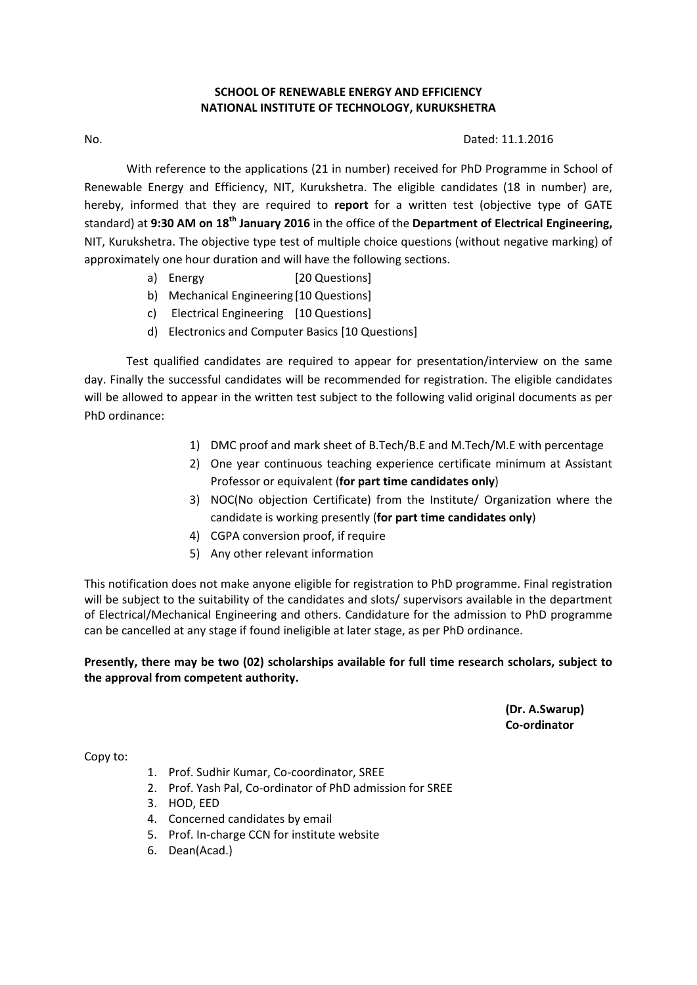# **SCHOOL OF RENEWABLE ENERGY AND EFFICIENCY NATIONAL INSTITUTE OF TECHNOLOGY, KURUKSHETRA**

#### No. Dated: 11.1.2016

With reference to the applications (21 in number) received for PhD Programme in School of Renewable Energy and Efficiency, NIT, Kurukshetra. The eligible candidates (18 in number) are, hereby, informed that they are required to **report** for a written test (objective type of GATE standard) at **9:30 AM on 18th January 2016** in the office of the **Department of Electrical Engineering,** NIT, Kurukshetra. The objective type test of multiple choice questions (without negative marking) of approximately one hour duration and will have the following sections.

- a) Energy [20 Questions]
- b) Mechanical Engineering [10 Questions]
- c) Electrical Engineering [10 Questions]
- d) Electronics and Computer Basics [10 Questions]

Test qualified candidates are required to appear for presentation/interview on the same day. Finally the successful candidates will be recommended for registration. The eligible candidates will be allowed to appear in the written test subject to the following valid original documents as per PhD ordinance:

- 1) DMC proof and mark sheet of B.Tech/B.E and M.Tech/M.E with percentage
- 2) One year continuous teaching experience certificate minimum at Assistant Professor or equivalent (**for part time candidates only**)
- 3) NOC(No objection Certificate) from the Institute/ Organization where the candidate is working presently (**for part time candidates only**)
- 4) CGPA conversion proof, if require
- 5) Any other relevant information

This notification does not make anyone eligible for registration to PhD programme. Final registration will be subject to the suitability of the candidates and slots/ supervisors available in the department of Electrical/Mechanical Engineering and others. Candidature for the admission to PhD programme can be cancelled at any stage if found ineligible at later stage, as per PhD ordinance.

# **Presently, there may be two (02) scholarships available for full time research scholars, subject to the approval from competent authority.**

 **(Dr. A.Swarup) Co‐ordinator**

Copy to:

- 1. Prof. Sudhir Kumar, Co‐coordinator, SREE
- 2. Prof. Yash Pal, Co-ordinator of PhD admission for SREE
- 3. HOD, EED
- 4. Concerned candidates by email
- 5. Prof. In-charge CCN for institute website
- 6. Dean(Acad.)